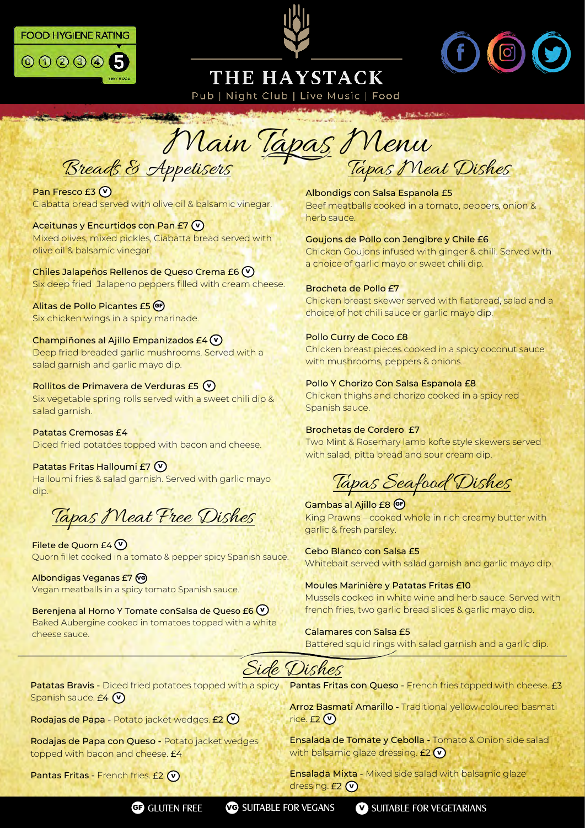





# THE HAYSTACK

Pub | Night Club | Live Music | Food

A. Bakit-article

Breads & Appetisers Tapas Meat Dishes Main Tapas Menu

Pan Fresco £3 **V** Ciabatta bread served with olive oil & balsamic vinegar.

**SCIENTIST AND REAL PROPERTY AND** 

Aceitunas y Encurtidos con Pan £7 **V** Mixed olives, mixed pickles, Ciabatta bread served with olive oil & balsamic vinegar.

Chiles Jalapeños Rellenos de Queso Crema £6 **V** Six deep fried Jalapeno peppers filled with cream cheese.

Alitas de Pollo Picantes £5 **GF** Six chicken wings in a spicy marinade.

Champiñones al Ajillo Empanizados £4 **V** Deep fried breaded garlic mushrooms. Served with a salad garnish and garlic mayo dip.

Rollitos de Primavera de Verduras £5 **V** Six vegetable spring rolls served with a sweet chili dip & salad garnish.

Patatas Cremosas £4 Diced fried potatoes topped with bacon and cheese.

Patatas Fritas Halloumi £7 **V** Halloumi fries & salad garnish. Served with garlic mayo dip.

Tapas Meat Free Dishes

Filete de Quorn £4 **V** Quorn fillet cooked in a tomato & pepper spicy Spanish sauce.

Albondigas Veganas £7 **VG** Vegan meatballs in a spicy tomato Spanish sauce.

Berenjena al Horno Y Tomate conSalsa de Queso £6 **V** Baked Aubergine cooked in tomatoes topped with a white cheese sauce.

Albondigs con Salsa Espanola £5 Beef meatballs cooked in a tomato, peppers, onion & herb sauce.

Goujons de Pollo con Jengibre y Chile £6 Chicken Goujons infused with ginger & chili. Served with a choice of garlic mayo or sweet chili dip.

#### Brocheta de Pollo £7 Chicken breast skewer served with flatbread, salad and a choice of hot chili sauce or garlic mayo dip.

#### Pollo Curry de Coco £8

Chicken breast pieces cooked in a spicy coconut sauce with mushrooms, peppers & onions.

Pollo Y Chorizo Con Salsa Espanola £8 Chicken thighs and chorizo cooked in a spicy red Spanish sauce.

Brochetas de Cordero £7 Two Mint & Rosemary lamb kofte style skewers served with salad, pitta bread and sour cream dip.

Tapas Seafood Dishes

**Gambas al Ajillo £8 GF** King Prawns – cooked whole in rich creamy butter with garlic & fresh parsley.

Cebo Blanco con Salsa £5 Whitebait served with salad garnish and garlic mayo dip.

Moules Marinière y Patatas Fritas £10 Mussels cooked in white wine and herb sauce. Served with french fries, two garlic bread slices & garlic mayo dip.

Calamares con Salsa £5 Battered squid rings with salad garnish and a garlic dip.



Patatas Bravis - Diced fried potatoes topped with a spicy Spanish sauce. **V**

Rodajas de Papa - Potato jacket wedges. £2 **V**

Rodajas de Papa con Queso - Potato jacket wedges topped with bacon and cheese. £4

Pantas Fritas - French fries. **V**

Pantas Fritas con Queso - French fries topped with cheese. £3

Arroz Basmati Amarillo - Traditional yellow coloured basmati rice. **V**

Ensalada de Tomate y Cebolla - Tomato & Onion side salad with balsamic glaze dressing. **V**

Ensalada Mixta - Mixed side salad with balsamic glaze dressing. **V**

**GF** GLUTEN FREE **VG** SUITABLE FOR VEGANS **V** SUITABLE FOR VEGETARIANS